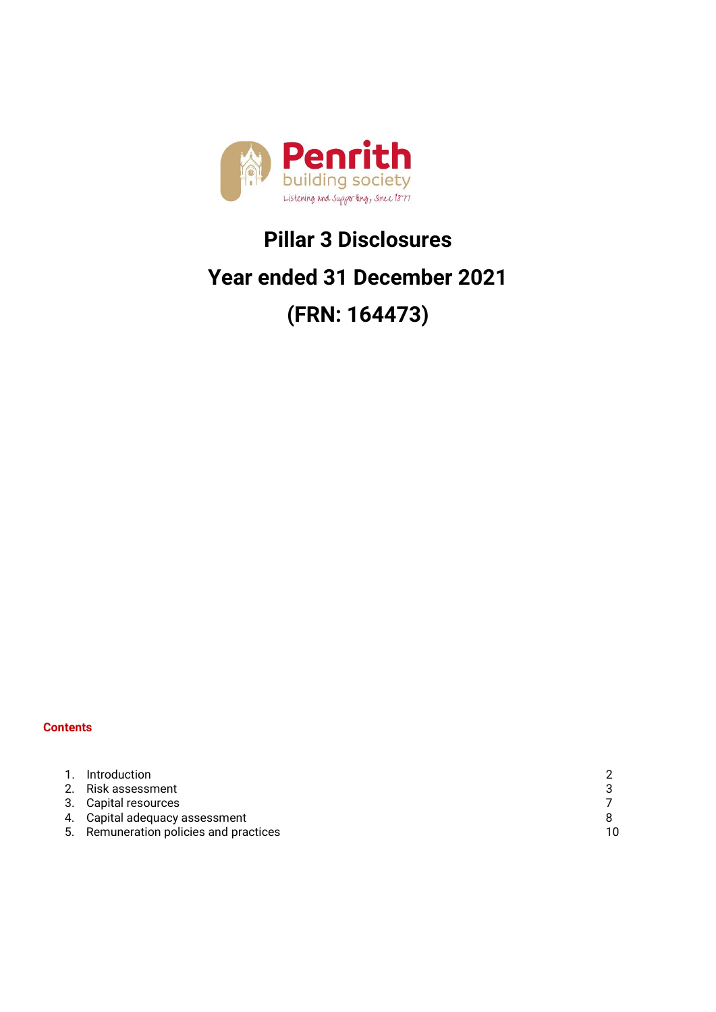

## **Pillar 3 Disclosures**

## **Year ended 31 December 2021**

# **(FRN: 164473)**

#### **Contents**

| 1. Introduction                        |    |
|----------------------------------------|----|
| 2. Risk assessment                     |    |
| 3. Capital resources                   |    |
| 4. Capital adequacy assessment         |    |
| 5. Remuneration policies and practices | 10 |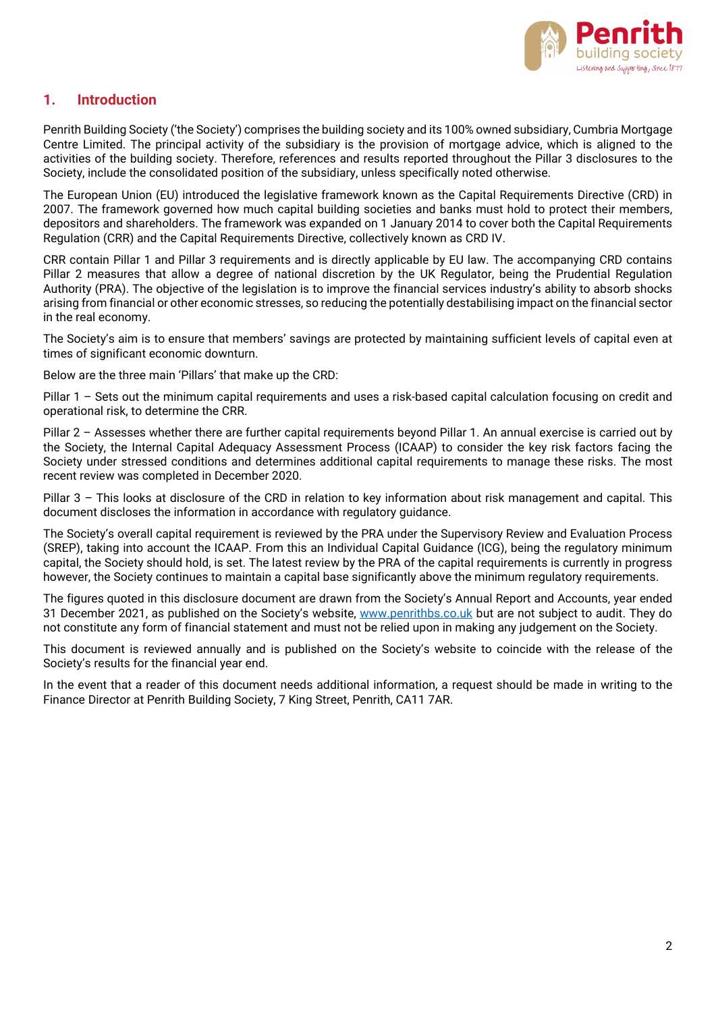

### **1. Introduction**

Penrith Building Society ('the Society') comprises the building society and its 100% owned subsidiary, Cumbria Mortgage Centre Limited. The principal activity of the subsidiary is the provision of mortgage advice, which is aligned to the activities of the building society. Therefore, references and results reported throughout the Pillar 3 disclosures to the Society, include the consolidated position of the subsidiary, unless specifically noted otherwise.

The European Union (EU) introduced the legislative framework known as the Capital Requirements Directive (CRD) in 2007. The framework governed how much capital building societies and banks must hold to protect their members, depositors and shareholders. The framework was expanded on 1 January 2014 to cover both the Capital Requirements Regulation (CRR) and the Capital Requirements Directive, collectively known as CRD IV.

CRR contain Pillar 1 and Pillar 3 requirements and is directly applicable by EU law. The accompanying CRD contains Pillar 2 measures that allow a degree of national discretion by the UK Regulator, being the Prudential Regulation Authority (PRA). The objective of the legislation is to improve the financial services industry's ability to absorb shocks arising from financial or other economic stresses, so reducing the potentially destabilising impact on the financial sector in the real economy.

The Society's aim is to ensure that members' savings are protected by maintaining sufficient levels of capital even at times of significant economic downturn.

Below are the three main 'Pillars' that make up the CRD:

Pillar 1 – Sets out the minimum capital requirements and uses a risk-based capital calculation focusing on credit and operational risk, to determine the CRR.

Pillar 2 – Assesses whether there are further capital requirements beyond Pillar 1. An annual exercise is carried out by the Society, the Internal Capital Adequacy Assessment Process (ICAAP) to consider the key risk factors facing the Society under stressed conditions and determines additional capital requirements to manage these risks. The most recent review was completed in December 2020.

Pillar 3 – This looks at disclosure of the CRD in relation to key information about risk management and capital. This document discloses the information in accordance with regulatory guidance.

The Society's overall capital requirement is reviewed by the PRA under the Supervisory Review and Evaluation Process (SREP), taking into account the ICAAP. From this an Individual Capital Guidance (ICG), being the regulatory minimum capital, the Society should hold, is set. The latest review by the PRA of the capital requirements is currently in progress however, the Society continues to maintain a capital base significantly above the minimum regulatory requirements.

The figures quoted in this disclosure document are drawn from the Society's Annual Report and Accounts, year ended 31 December 2021, as published on the Society's website, [www.penrithbs.co.uk](http://www.penrithbs.co.uk/) but are not subject to audit. They do not constitute any form of financial statement and must not be relied upon in making any judgement on the Society.

This document is reviewed annually and is published on the Society's website to coincide with the release of the Society's results for the financial year end.

In the event that a reader of this document needs additional information, a request should be made in writing to the Finance Director at Penrith Building Society, 7 King Street, Penrith, CA11 7AR.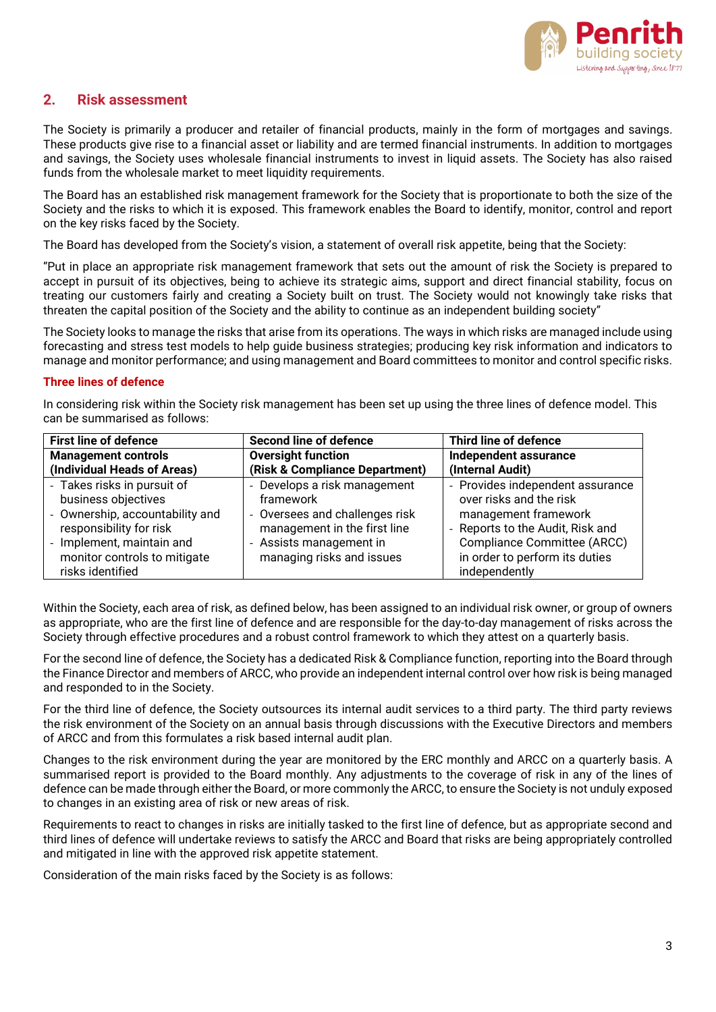

## **2. Risk assessment**

The Society is primarily a producer and retailer of financial products, mainly in the form of mortgages and savings. These products give rise to a financial asset or liability and are termed financial instruments. In addition to mortgages and savings, the Society uses wholesale financial instruments to invest in liquid assets. The Society has also raised funds from the wholesale market to meet liquidity requirements.

The Board has an established risk management framework for the Society that is proportionate to both the size of the Society and the risks to which it is exposed. This framework enables the Board to identify, monitor, control and report on the key risks faced by the Society.

The Board has developed from the Society's vision, a statement of overall risk appetite, being that the Society:

"Put in place an appropriate risk management framework that sets out the amount of risk the Society is prepared to accept in pursuit of its objectives, being to achieve its strategic aims, support and direct financial stability, focus on treating our customers fairly and creating a Society built on trust. The Society would not knowingly take risks that threaten the capital position of the Society and the ability to continue as an independent building society"

The Society looks to manage the risks that arise from its operations. The ways in which risks are managed include using forecasting and stress test models to help guide business strategies; producing key risk information and indicators to manage and monitor performance; and using management and Board committees to monitor and control specific risks.

#### **Three lines of defence**

In considering risk within the Society risk management has been set up using the three lines of defence model. This can be summarised as follows:

| <b>First line of defence</b>    | <b>Second line of defence</b>  | Third line of defence            |
|---------------------------------|--------------------------------|----------------------------------|
| <b>Management controls</b>      | <b>Oversight function</b>      | Independent assurance            |
| (Individual Heads of Areas)     | (Risk & Compliance Department) | (Internal Audit)                 |
| - Takes risks in pursuit of     | - Develops a risk management   | - Provides independent assurance |
| business objectives             | framework                      | over risks and the risk          |
| - Ownership, accountability and | - Oversees and challenges risk | management framework             |
| responsibility for risk         | management in the first line   | - Reports to the Audit, Risk and |
| - Implement, maintain and       | - Assists management in        | Compliance Committee (ARCC)      |
| monitor controls to mitigate    | managing risks and issues      | in order to perform its duties   |
| risks identified                |                                | independently                    |

Within the Society, each area of risk, as defined below, has been assigned to an individual risk owner, or group of owners as appropriate, who are the first line of defence and are responsible for the day-to-day management of risks across the Society through effective procedures and a robust control framework to which they attest on a quarterly basis.

For the second line of defence, the Society has a dedicated Risk & Compliance function, reporting into the Board through the Finance Director and members of ARCC, who provide an independent internal control over how risk is being managed and responded to in the Society.

For the third line of defence, the Society outsources its internal audit services to a third party. The third party reviews the risk environment of the Society on an annual basis through discussions with the Executive Directors and members of ARCC and from this formulates a risk based internal audit plan.

Changes to the risk environment during the year are monitored by the ERC monthly and ARCC on a quarterly basis. A summarised report is provided to the Board monthly. Any adjustments to the coverage of risk in any of the lines of defence can be made through either the Board, or more commonly the ARCC, to ensure the Society is not unduly exposed to changes in an existing area of risk or new areas of risk.

Requirements to react to changes in risks are initially tasked to the first line of defence, but as appropriate second and third lines of defence will undertake reviews to satisfy the ARCC and Board that risks are being appropriately controlled and mitigated in line with the approved risk appetite statement.

Consideration of the main risks faced by the Society is as follows: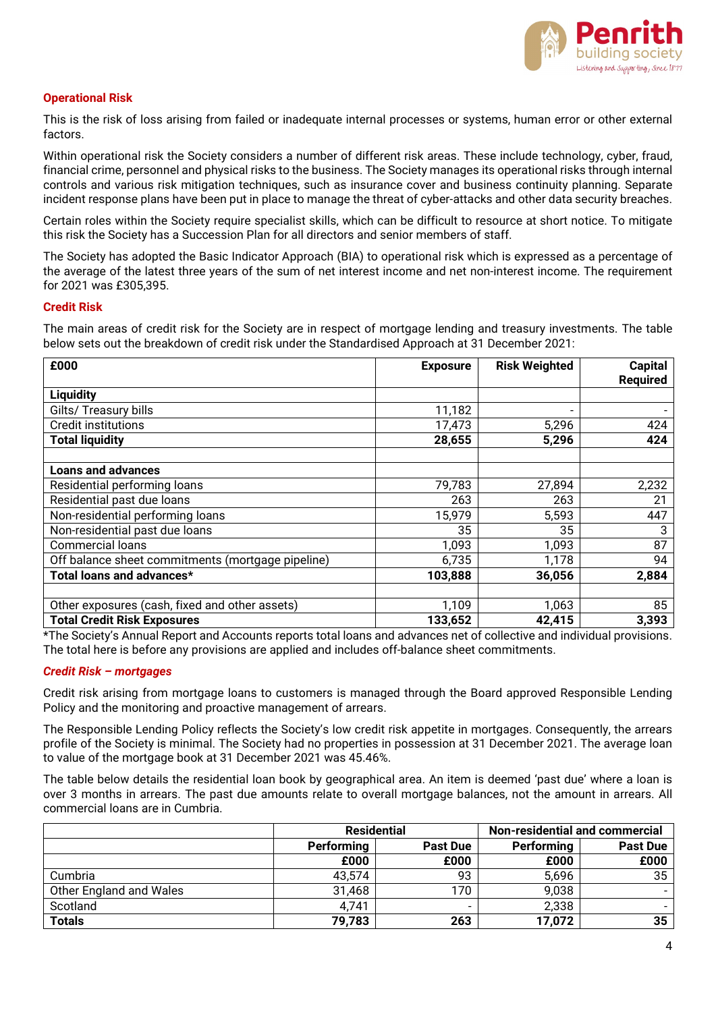

#### **Operational Risk**

This is the risk of loss arising from failed or inadequate internal processes or systems, human error or other external factors.

Within operational risk the Society considers a number of different risk areas. These include technology, cyber, fraud, financial crime, personnel and physical risks to the business. The Society manages its operational risks through internal controls and various risk mitigation techniques, such as insurance cover and business continuity planning. Separate incident response plans have been put in place to manage the threat of cyber-attacks and other data security breaches.

Certain roles within the Society require specialist skills, which can be difficult to resource at short notice. To mitigate this risk the Society has a Succession Plan for all directors and senior members of staff.

The Society has adopted the Basic Indicator Approach (BIA) to operational risk which is expressed as a percentage of the average of the latest three years of the sum of net interest income and net non-interest income. The requirement for 2021 was £305,395.

#### **Credit Risk**

The main areas of credit risk for the Society are in respect of mortgage lending and treasury investments. The table below sets out the breakdown of credit risk under the Standardised Approach at 31 December 2021:

| £000                                              | <b>Exposure</b> | <b>Risk Weighted</b>     | <b>Capital</b><br><b>Required</b> |
|---------------------------------------------------|-----------------|--------------------------|-----------------------------------|
| <b>Liquidity</b>                                  |                 |                          |                                   |
| Gilts/ Treasury bills                             | 11,182          | $\overline{\phantom{0}}$ |                                   |
| <b>Credit institutions</b>                        | 17,473          | 5,296                    | 424                               |
| <b>Total liquidity</b>                            | 28,655          | 5,296                    | 424                               |
|                                                   |                 |                          |                                   |
| <b>Loans and advances</b>                         |                 |                          |                                   |
| Residential performing loans                      | 79,783          | 27,894                   | 2,232                             |
| Residential past due loans                        | 263             | 263                      | 21                                |
| Non-residential performing loans                  | 15,979          | 5,593                    | 447                               |
| Non-residential past due loans                    | 35              | 35                       | 3                                 |
| Commercial loans                                  | 1,093           | 1,093                    | 87                                |
| Off balance sheet commitments (mortgage pipeline) | 6,735           | 1,178                    | 94                                |
| Total loans and advances*                         | 103,888         | 36,056                   | 2,884                             |
|                                                   |                 |                          |                                   |
| Other exposures (cash, fixed and other assets)    | 1,109           | 1,063                    | 85                                |
| <b>Total Credit Risk Exposures</b>                | 133,652         | 42,415                   | 3,393                             |

\*The Society's Annual Report and Accounts reports total loans and advances net of collective and individual provisions. The total here is before any provisions are applied and includes off-balance sheet commitments.

#### *Credit Risk – mortgages*

Credit risk arising from mortgage loans to customers is managed through the Board approved Responsible Lending Policy and the monitoring and proactive management of arrears.

The Responsible Lending Policy reflects the Society's low credit risk appetite in mortgages. Consequently, the arrears profile of the Society is minimal. The Society had no properties in possession at 31 December 2021. The average loan to value of the mortgage book at 31 December 2021 was 45.46%.

The table below details the residential loan book by geographical area. An item is deemed 'past due' where a loan is over 3 months in arrears. The past due amounts relate to overall mortgage balances, not the amount in arrears. All commercial loans are in Cumbria.

|                         | <b>Residential</b> |                 | Non-residential and commercial |                 |
|-------------------------|--------------------|-----------------|--------------------------------|-----------------|
|                         | Performing         | <b>Past Due</b> |                                | <b>Past Due</b> |
|                         | £000               | £000            | £000                           | £000            |
| Cumbria                 | 43,574             | 93              | 5,696                          | 35              |
| Other England and Wales | 31,468             | 170             | 9,038                          |                 |
| Scotland                | 4,741              |                 | 2,338                          |                 |
| <b>Totals</b>           | 79,783             | 263             | 17,072                         | 35              |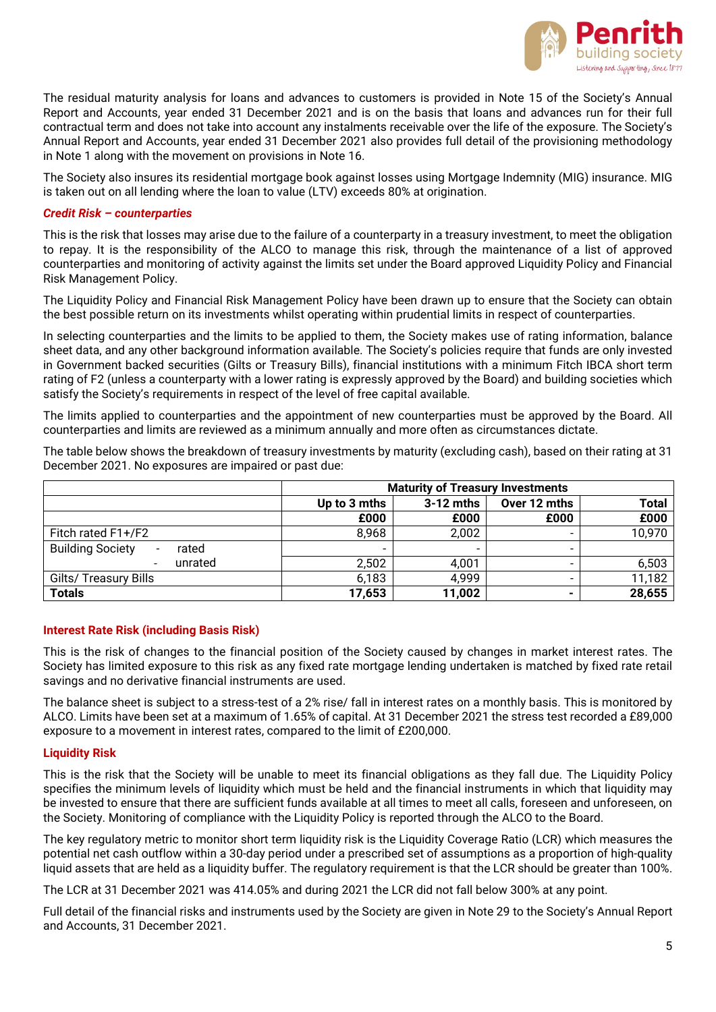

The residual maturity analysis for loans and advances to customers is provided in Note 15 of the Society's Annual Report and Accounts, year ended 31 December 2021 and is on the basis that loans and advances run for their full contractual term and does not take into account any instalments receivable over the life of the exposure. The Society's Annual Report and Accounts, year ended 31 December 2021 also provides full detail of the provisioning methodology in Note 1 along with the movement on provisions in Note 16.

The Society also insures its residential mortgage book against losses using Mortgage Indemnity (MIG) insurance. MIG is taken out on all lending where the loan to value (LTV) exceeds 80% at origination.

#### *Credit Risk – counterparties*

This is the risk that losses may arise due to the failure of a counterparty in a treasury investment, to meet the obligation to repay. It is the responsibility of the ALCO to manage this risk, through the maintenance of a list of approved counterparties and monitoring of activity against the limits set under the Board approved Liquidity Policy and Financial Risk Management Policy.

The Liquidity Policy and Financial Risk Management Policy have been drawn up to ensure that the Society can obtain the best possible return on its investments whilst operating within prudential limits in respect of counterparties.

In selecting counterparties and the limits to be applied to them, the Society makes use of rating information, balance sheet data, and any other background information available. The Society's policies require that funds are only invested in Government backed securities (Gilts or Treasury Bills), financial institutions with a minimum Fitch IBCA short term rating of F2 (unless a counterparty with a lower rating is expressly approved by the Board) and building societies which satisfy the Society's requirements in respect of the level of free capital available.

The limits applied to counterparties and the appointment of new counterparties must be approved by the Board. All counterparties and limits are reviewed as a minimum annually and more often as circumstances dictate.

The table below shows the breakdown of treasury investments by maturity (excluding cash), based on their rating at 31 December 2021. No exposures are impaired or past due:

|                                                    | <b>Maturity of Treasury Investments</b>                     |        |                          |        |
|----------------------------------------------------|-------------------------------------------------------------|--------|--------------------------|--------|
|                                                    | <b>Total</b><br>$3-12$ mths<br>Over 12 mths<br>Up to 3 mths |        |                          |        |
|                                                    | £000                                                        | £000   | £000                     | £000   |
| Fitch rated F1+/F2                                 | 8,968                                                       | 2,002  |                          | 10,970 |
| <b>Building Society</b><br>rated<br>$\blacksquare$ | -                                                           | -      | $\overline{\phantom{a}}$ |        |
| unrated<br>$\overline{\phantom{a}}$                | 2,502                                                       | 4,001  |                          | 6,503  |
| Gilts/ Treasury Bills                              | 6,183                                                       | 4,999  |                          | 11,182 |
| <b>Totals</b>                                      | 17,653                                                      | 11,002 | $\blacksquare$           | 28,655 |

#### **Interest Rate Risk (including Basis Risk)**

This is the risk of changes to the financial position of the Society caused by changes in market interest rates. The Society has limited exposure to this risk as any fixed rate mortgage lending undertaken is matched by fixed rate retail savings and no derivative financial instruments are used.

The balance sheet is subject to a stress-test of a 2% rise/ fall in interest rates on a monthly basis. This is monitored by ALCO. Limits have been set at a maximum of 1.65% of capital. At 31 December 2021 the stress test recorded a £89,000 exposure to a movement in interest rates, compared to the limit of £200,000.

#### **Liquidity Risk**

This is the risk that the Society will be unable to meet its financial obligations as they fall due. The Liquidity Policy specifies the minimum levels of liquidity which must be held and the financial instruments in which that liquidity may be invested to ensure that there are sufficient funds available at all times to meet all calls, foreseen and unforeseen, on the Society. Monitoring of compliance with the Liquidity Policy is reported through the ALCO to the Board.

The key regulatory metric to monitor short term liquidity risk is the Liquidity Coverage Ratio (LCR) which measures the potential net cash outflow within a 30-day period under a prescribed set of assumptions as a proportion of high-quality liquid assets that are held as a liquidity buffer. The regulatory requirement is that the LCR should be greater than 100%.

The LCR at 31 December 2021 was 414.05% and during 2021 the LCR did not fall below 300% at any point.

Full detail of the financial risks and instruments used by the Society are given in Note 29 to the Society's Annual Report and Accounts, 31 December 2021.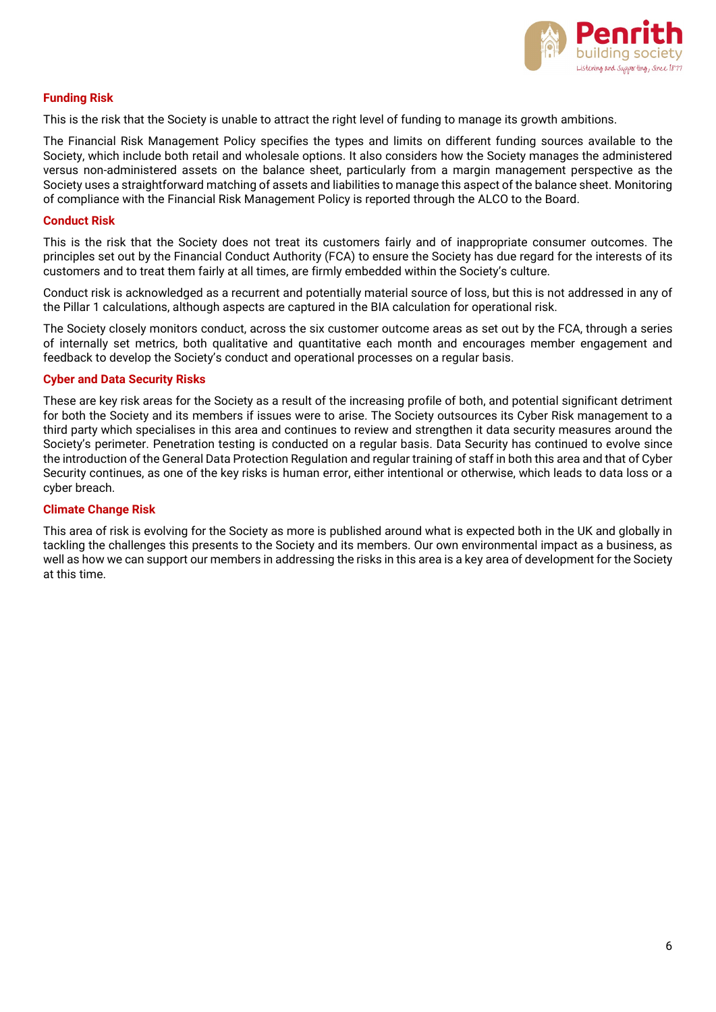

#### **Funding Risk**

This is the risk that the Society is unable to attract the right level of funding to manage its growth ambitions.

The Financial Risk Management Policy specifies the types and limits on different funding sources available to the Society, which include both retail and wholesale options. It also considers how the Society manages the administered versus non-administered assets on the balance sheet, particularly from a margin management perspective as the Society uses a straightforward matching of assets and liabilities to manage this aspect of the balance sheet. Monitoring of compliance with the Financial Risk Management Policy is reported through the ALCO to the Board.

#### **Conduct Risk**

This is the risk that the Society does not treat its customers fairly and of inappropriate consumer outcomes. The principles set out by the Financial Conduct Authority (FCA) to ensure the Society has due regard for the interests of its customers and to treat them fairly at all times, are firmly embedded within the Society's culture.

Conduct risk is acknowledged as a recurrent and potentially material source of loss, but this is not addressed in any of the Pillar 1 calculations, although aspects are captured in the BIA calculation for operational risk.

The Society closely monitors conduct, across the six customer outcome areas as set out by the FCA, through a series of internally set metrics, both qualitative and quantitative each month and encourages member engagement and feedback to develop the Society's conduct and operational processes on a regular basis.

#### **Cyber and Data Security Risks**

These are key risk areas for the Society as a result of the increasing profile of both, and potential significant detriment for both the Society and its members if issues were to arise. The Society outsources its Cyber Risk management to a third party which specialises in this area and continues to review and strengthen it data security measures around the Society's perimeter. Penetration testing is conducted on a regular basis. Data Security has continued to evolve since the introduction of the General Data Protection Regulation and regular training of staff in both this area and that of Cyber Security continues, as one of the key risks is human error, either intentional or otherwise, which leads to data loss or a cyber breach.

#### **Climate Change Risk**

This area of risk is evolving for the Society as more is published around what is expected both in the UK and globally in tackling the challenges this presents to the Society and its members. Our own environmental impact as a business, as well as how we can support our members in addressing the risks in this area is a key area of development for the Society at this time.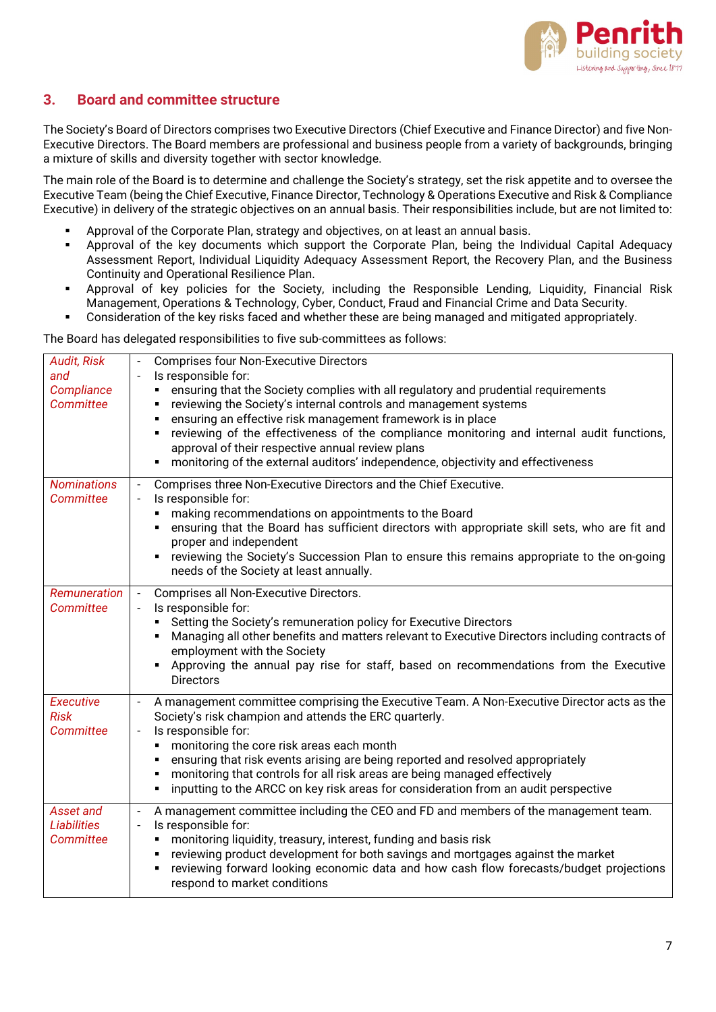

## **3. Board and committee structure**

The Society's Board of Directors comprises two Executive Directors (Chief Executive and Finance Director) and five Non-Executive Directors. The Board members are professional and business people from a variety of backgrounds, bringing a mixture of skills and diversity together with sector knowledge.

The main role of the Board is to determine and challenge the Society's strategy, set the risk appetite and to oversee the Executive Team (being the Chief Executive, Finance Director, Technology & Operations Executive and Risk & Compliance Executive) in delivery of the strategic objectives on an annual basis. Their responsibilities include, but are not limited to:

- Approval of the Corporate Plan, strategy and objectives, on at least an annual basis.
- Approval of the key documents which support the Corporate Plan, being the Individual Capital Adequacy Assessment Report, Individual Liquidity Adequacy Assessment Report, the Recovery Plan, and the Business Continuity and Operational Resilience Plan.
- Approval of key policies for the Society, including the Responsible Lending, Liquidity, Financial Risk Management, Operations & Technology, Cyber, Conduct, Fraud and Financial Crime and Data Security.
- Consideration of the key risks faced and whether these are being managed and mitigated appropriately.

The Board has delegated responsibilities to five sub-committees as follows:

| <b>Audit, Risk</b>                           | <b>Comprises four Non-Executive Directors</b>                                                                                                                                                                                                                                                                                                                                                                                                                                                                                                               |
|----------------------------------------------|-------------------------------------------------------------------------------------------------------------------------------------------------------------------------------------------------------------------------------------------------------------------------------------------------------------------------------------------------------------------------------------------------------------------------------------------------------------------------------------------------------------------------------------------------------------|
| and<br>Compliance<br>Committee               | Is responsible for:<br>ensuring that the Society complies with all regulatory and prudential requirements<br>٠<br>reviewing the Society's internal controls and management systems<br>٠<br>ensuring an effective risk management framework is in place<br>п<br>reviewing of the effectiveness of the compliance monitoring and internal audit functions,<br>٠<br>approval of their respective annual review plans<br>monitoring of the external auditors' independence, objectivity and effectiveness                                                       |
| <b>Nominations</b><br>Committee              | Comprises three Non-Executive Directors and the Chief Executive.<br>$\overline{\phantom{a}}$<br>Is responsible for:<br>$\overline{\phantom{a}}$<br>making recommendations on appointments to the Board<br>٠<br>ensuring that the Board has sufficient directors with appropriate skill sets, who are fit and<br>٠<br>proper and independent<br>reviewing the Society's Succession Plan to ensure this remains appropriate to the on-going<br>$\blacksquare$<br>needs of the Society at least annually.                                                      |
| Remuneration<br>Committee                    | Comprises all Non-Executive Directors.<br>$\overline{\phantom{a}}$<br>Is responsible for:<br>Setting the Society's remuneration policy for Executive Directors<br>٠<br>Managing all other benefits and matters relevant to Executive Directors including contracts of<br>٠<br>employment with the Society<br>Approving the annual pay rise for staff, based on recommendations from the Executive<br>٠<br><b>Directors</b>                                                                                                                                  |
| <b>Executive</b><br><b>Risk</b><br>Committee | A management committee comprising the Executive Team. A Non-Executive Director acts as the<br>$\overline{\phantom{a}}$<br>Society's risk champion and attends the ERC quarterly.<br>Is responsible for:<br>$\overline{\phantom{a}}$<br>monitoring the core risk areas each month<br>٠<br>ensuring that risk events arising are being reported and resolved appropriately<br>٠<br>monitoring that controls for all risk areas are being managed effectively<br>٠<br>inputting to the ARCC on key risk areas for consideration from an audit perspective<br>٠ |
| Asset and<br><b>Liabilities</b><br>Committee | A management committee including the CEO and FD and members of the management team.<br>$\overline{\phantom{a}}$<br>Is responsible for:<br>$\overline{\phantom{a}}$<br>monitoring liquidity, treasury, interest, funding and basis risk<br>$\blacksquare$<br>reviewing product development for both savings and mortgages against the market<br>$\blacksquare$<br>reviewing forward looking economic data and how cash flow forecasts/budget projections<br>$\blacksquare$<br>respond to market conditions                                                   |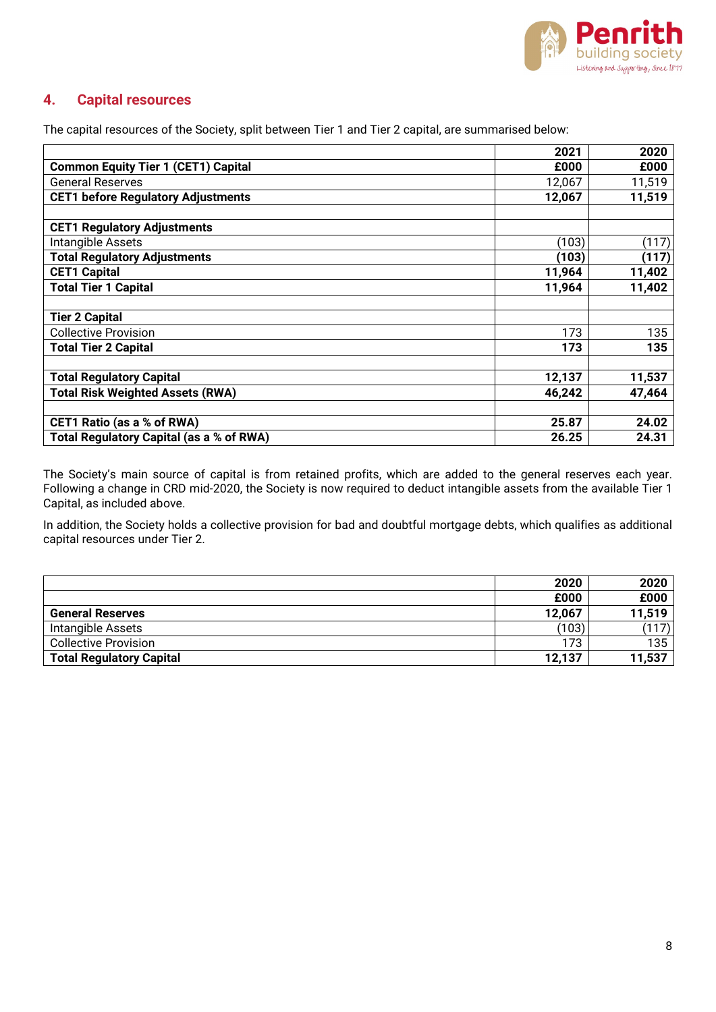

## **4. Capital resources**

The capital resources of the Society, split between Tier 1 and Tier 2 capital, are summarised below:

|                                                 | 2021   | 2020   |
|-------------------------------------------------|--------|--------|
| <b>Common Equity Tier 1 (CET1) Capital</b>      | £000   | £000   |
| <b>General Reserves</b>                         | 12,067 | 11,519 |
| <b>CET1 before Regulatory Adjustments</b>       | 12,067 | 11,519 |
|                                                 |        |        |
| <b>CET1 Regulatory Adjustments</b>              |        |        |
| Intangible Assets                               | (103)  | (117)  |
| <b>Total Regulatory Adjustments</b>             | (103)  | (117)  |
| <b>CET1 Capital</b>                             | 11,964 | 11,402 |
| <b>Total Tier 1 Capital</b>                     | 11,964 | 11,402 |
|                                                 |        |        |
| <b>Tier 2 Capital</b>                           |        |        |
| <b>Collective Provision</b>                     | 173    | 135    |
| <b>Total Tier 2 Capital</b>                     | 173    | 135    |
|                                                 |        |        |
| <b>Total Regulatory Capital</b>                 | 12,137 | 11,537 |
| <b>Total Risk Weighted Assets (RWA)</b>         | 46,242 | 47,464 |
|                                                 |        |        |
| <b>CET1 Ratio (as a % of RWA)</b>               | 25.87  | 24.02  |
| <b>Total Regulatory Capital (as a % of RWA)</b> | 26.25  | 24.31  |

The Society's main source of capital is from retained profits, which are added to the general reserves each year. Following a change in CRD mid-2020, the Society is now required to deduct intangible assets from the available Tier 1 Capital, as included above.

In addition, the Society holds a collective provision for bad and doubtful mortgage debts, which qualifies as additional capital resources under Tier 2.

|                                 | 2020   | 2020   |
|---------------------------------|--------|--------|
|                                 | £000   | £000   |
| <b>General Reserves</b>         | 12,067 | 11,519 |
| Intangible Assets               | (103)  | (117)  |
| <b>Collective Provision</b>     | 173    | 135    |
| <b>Total Regulatory Capital</b> | 12,137 | 11,537 |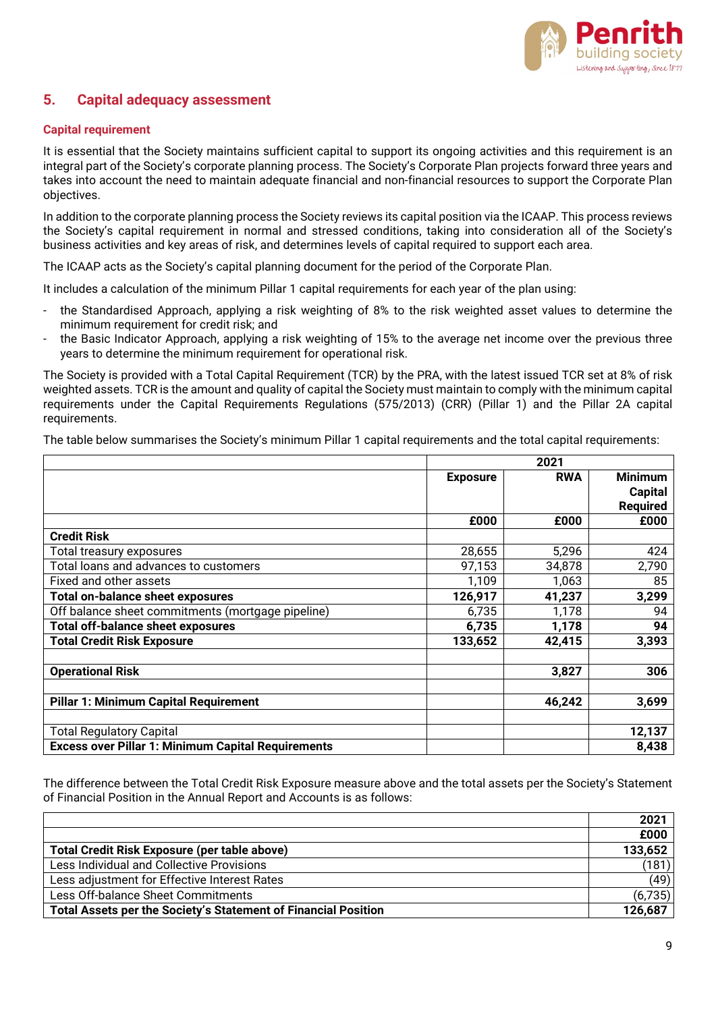

## **5. Capital adequacy assessment**

#### **Capital requirement**

It is essential that the Society maintains sufficient capital to support its ongoing activities and this requirement is an integral part of the Society's corporate planning process. The Society's Corporate Plan projects forward three years and takes into account the need to maintain adequate financial and non-financial resources to support the Corporate Plan objectives.

In addition to the corporate planning process the Society reviews its capital position via the ICAAP. This process reviews the Society's capital requirement in normal and stressed conditions, taking into consideration all of the Society's business activities and key areas of risk, and determines levels of capital required to support each area.

The ICAAP acts as the Society's capital planning document for the period of the Corporate Plan.

It includes a calculation of the minimum Pillar 1 capital requirements for each year of the plan using:

- the Standardised Approach, applying a risk weighting of 8% to the risk weighted asset values to determine the minimum requirement for credit risk; and
- the Basic Indicator Approach, applying a risk weighting of 15% to the average net income over the previous three years to determine the minimum requirement for operational risk.

The Society is provided with a Total Capital Requirement (TCR) by the PRA, with the latest issued TCR set at 8% of risk weighted assets. TCR is the amount and quality of capital the Society must maintain to comply with the minimum capital requirements under the Capital Requirements Regulations (575/2013) (CRR) (Pillar 1) and the Pillar 2A capital requirements.

The table below summarises the Society's minimum Pillar 1 capital requirements and the total capital requirements:

|                                                           |                 | 2021       |                                                     |  |
|-----------------------------------------------------------|-----------------|------------|-----------------------------------------------------|--|
|                                                           | <b>Exposure</b> | <b>RWA</b> | <b>Minimum</b><br><b>Capital</b><br><b>Required</b> |  |
|                                                           | £000            | £000       | £000                                                |  |
| <b>Credit Risk</b>                                        |                 |            |                                                     |  |
| Total treasury exposures                                  | 28,655          | 5,296      | 424                                                 |  |
| Total loans and advances to customers                     | 97,153          | 34,878     | 2,790                                               |  |
| Fixed and other assets                                    | 1,109           | 1,063      | 85                                                  |  |
| <b>Total on-balance sheet exposures</b>                   | 126,917         | 41,237     | 3,299                                               |  |
| Off balance sheet commitments (mortgage pipeline)         | 6,735           | 1,178      | 94                                                  |  |
| <b>Total off-balance sheet exposures</b>                  | 6,735           | 1,178      | 94                                                  |  |
| <b>Total Credit Risk Exposure</b>                         | 133,652         | 42,415     | 3,393                                               |  |
| <b>Operational Risk</b>                                   |                 | 3,827      | 306                                                 |  |
| <b>Pillar 1: Minimum Capital Requirement</b>              |                 | 46,242     | 3,699                                               |  |
| <b>Total Regulatory Capital</b>                           |                 |            | 12,137                                              |  |
| <b>Excess over Pillar 1: Minimum Capital Requirements</b> |                 |            | 8,438                                               |  |

The difference between the Total Credit Risk Exposure measure above and the total assets per the Society's Statement of Financial Position in the Annual Report and Accounts is as follows:

|                                                                | 2021    |
|----------------------------------------------------------------|---------|
|                                                                | £000    |
| <b>Total Credit Risk Exposure (per table above)</b>            | 133,652 |
| Less Individual and Collective Provisions                      | (181)   |
| Less adjustment for Effective Interest Rates                   | (49)    |
| Less Off-balance Sheet Commitments                             | (6,735) |
| Total Assets per the Society's Statement of Financial Position | 126,687 |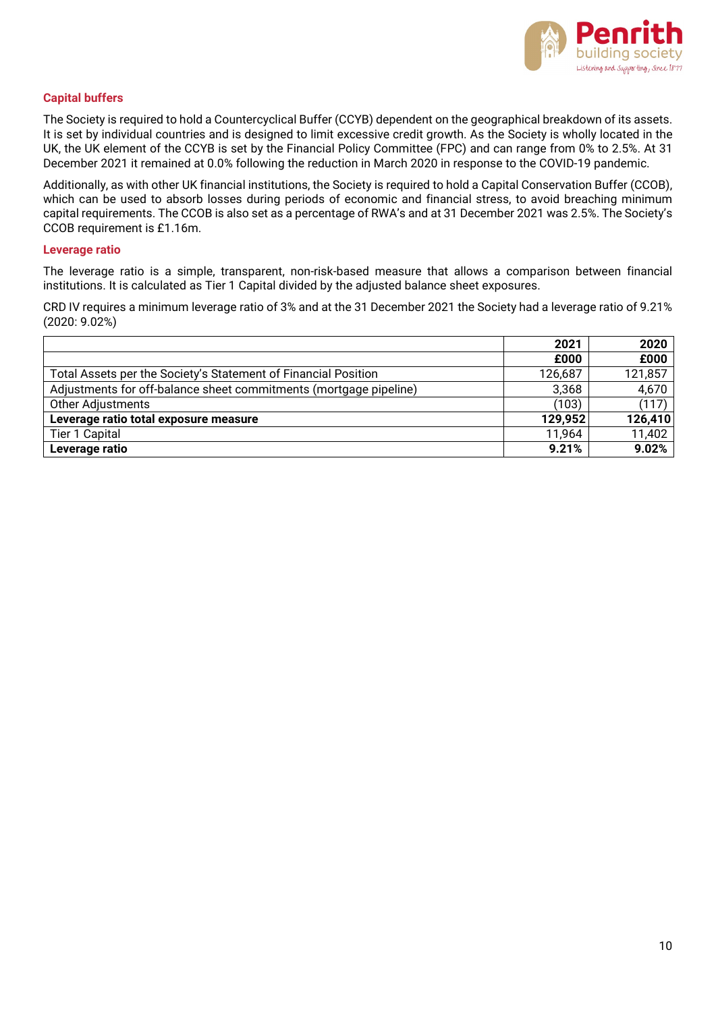

#### **Capital buffers**

The Society is required to hold a Countercyclical Buffer (CCYB) dependent on the geographical breakdown of its assets. It is set by individual countries and is designed to limit excessive credit growth. As the Society is wholly located in the UK, the UK element of the CCYB is set by the Financial Policy Committee (FPC) and can range from 0% to 2.5%. At 31 December 2021 it remained at 0.0% following the reduction in March 2020 in response to the COVID-19 pandemic.

Additionally, as with other UK financial institutions, the Society is required to hold a Capital Conservation Buffer (CCOB), which can be used to absorb losses during periods of economic and financial stress, to avoid breaching minimum capital requirements. The CCOB is also set as a percentage of RWA's and at 31 December 2021 was 2.5%. The Society's CCOB requirement is £1.16m.

#### **Leverage ratio**

The leverage ratio is a simple, transparent, non-risk-based measure that allows a comparison between financial institutions. It is calculated as Tier 1 Capital divided by the adjusted balance sheet exposures.

CRD IV requires a minimum leverage ratio of 3% and at the 31 December 2021 the Society had a leverage ratio of 9.21% (2020: 9.02%)

|                                                                   | 2021    | 2020    |
|-------------------------------------------------------------------|---------|---------|
|                                                                   | £000    | £000    |
| Total Assets per the Society's Statement of Financial Position    | 126,687 | 121,857 |
| Adjustments for off-balance sheet commitments (mortgage pipeline) | 3,368   | 4,670   |
| <b>Other Adjustments</b>                                          | (103)   | (117)   |
| Leverage ratio total exposure measure                             | 129,952 | 126,410 |
| Tier 1 Capital                                                    | 11,964  | 11,402  |
| Leverage ratio                                                    | 9.21%   | 9.02%   |